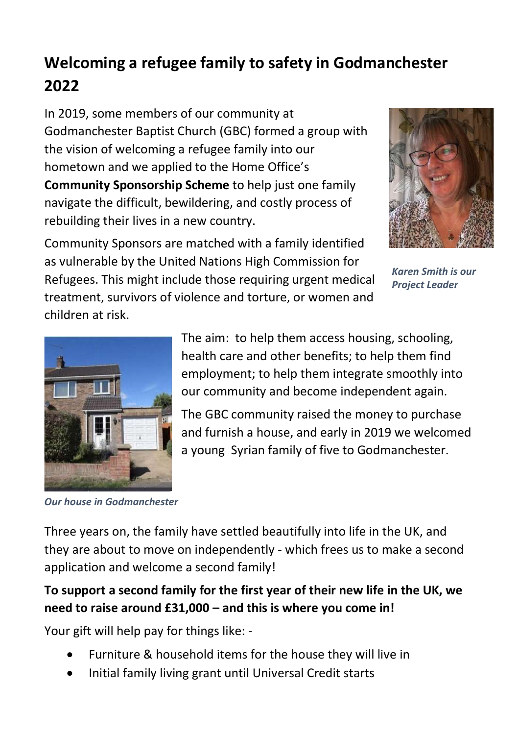## Welcoming a refugee family to safety in Godmanchester 2022

In 2019, some members of our community at Godmanchester Baptist Church (GBC) formed a group with the vision of welcoming a refugee family into our hometown and we applied to the Home Office's Community Sponsorship Scheme to help just one family navigate the difficult, bewildering, and costly process of rebuilding their lives in a new country.



Community Sponsors are matched with a family identified as vulnerable by the United Nations High Commission for Refugees. This might include those requiring urgent medical treatment, survivors of violence and torture, or women and children at risk.

Karen Smith is our Project Leader



The aim: to help them access housing, schooling, health care and other benefits; to help them find employment; to help them integrate smoothly into our community and become independent again.

The GBC community raised the money to purchase and furnish a house, and early in 2019 we welcomed a young Syrian family of five to Godmanchester.

Our house in Godmanchester

Three years on, the family have settled beautifully into life in the UK, and they are about to move on independently - which frees us to make a second application and welcome a second family!

## To support a second family for the first year of their new life in the UK, we need to raise around £31,000 – and this is where you come in!

Your gift will help pay for things like: -

- Furniture & household items for the house they will live in
- Initial family living grant until Universal Credit starts